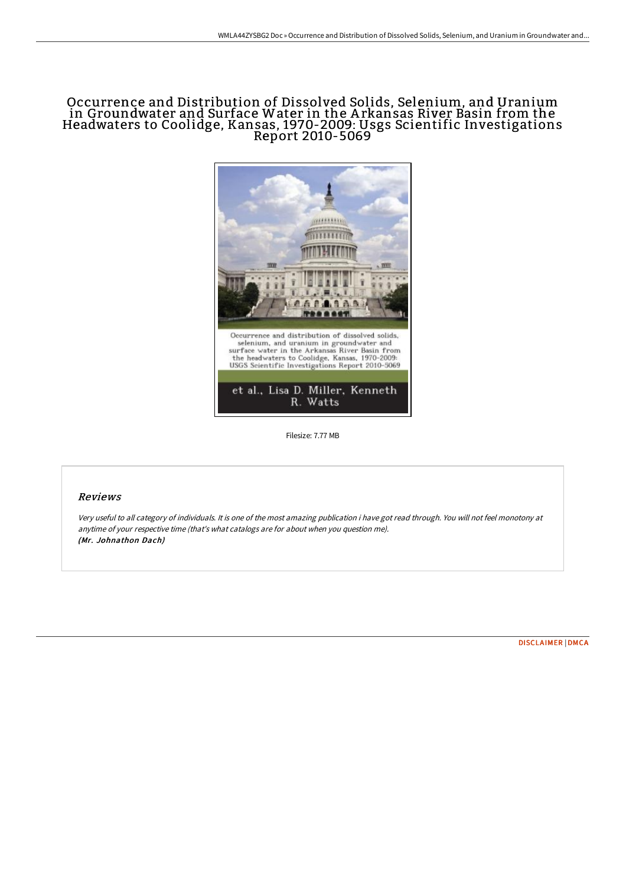# Occurrence and Distribution of Dissolved Solids, Selenium, and Uranium in Groundwater and Surface Water in the A rkansas River Basin from the Headwaters to Coolidge, Kansas, 1970-2009: Usgs Scientific Investigations Report 2010-5069



Filesize: 7.77 MB

### Reviews

Very useful to all category of individuals. It is one of the most amazing publication i have got read through. You will not feel monotony at anytime of your respective time (that's what catalogs are for about when you question me). (Mr. Johnathon Dach)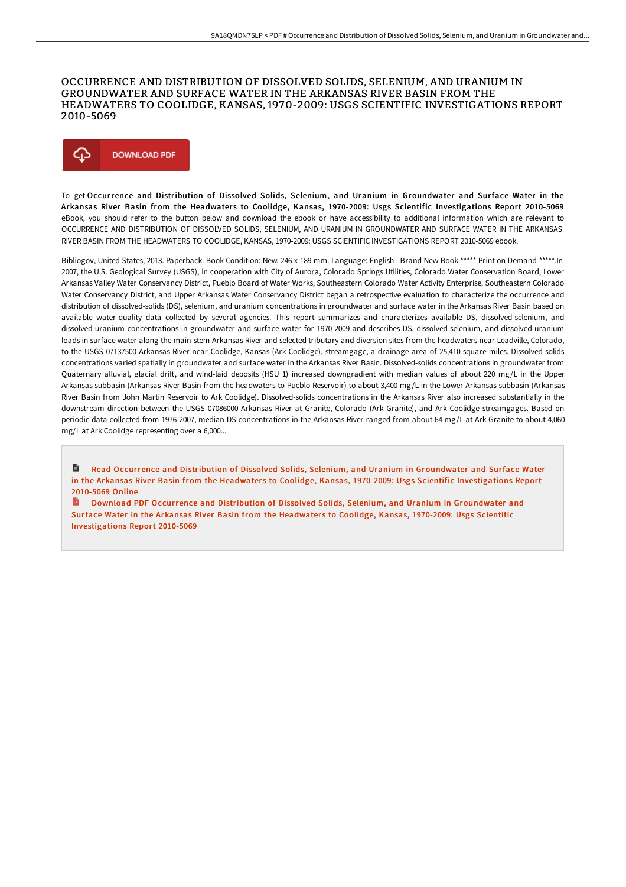### OCCURRENCE AND DISTRIBUTION OF DISSOLVED SOLIDS, SELENIUM, AND URANIUM IN GROUNDWATER AND SURFACE WATER IN THE ARKANSAS RIVER BASIN FROM THE HEADWATERS TO COOLIDGE, KANSAS, 1970-2009: USGS SCIENTIFIC INVESTIGATIONS REPORT 2010-5069



To get Occurrence and Distribution of Dissolved Solids, Selenium, and Uranium in Groundwater and Surface Water in the Arkansas River Basin from the Headwaters to Coolidge, Kansas, 1970-2009: Usgs Scientific Investigations Report 2010-5069 eBook, you should refer to the button below and download the ebook or have accessibility to additional information which are relevant to OCCURRENCE AND DISTRIBUTION OF DISSOLVED SOLIDS, SELENIUM, AND URANIUM IN GROUNDWATER AND SURFACE WATER IN THE ARKANSAS RIVER BASIN FROM THE HEADWATERS TO COOLIDGE, KANSAS, 1970-2009: USGS SCIENTIFIC INVESTIGATIONS REPORT 2010-5069 ebook.

Bibliogov, United States, 2013. Paperback. Book Condition: New. 246 x 189 mm. Language: English . Brand New Book \*\*\*\*\* Print on Demand \*\*\*\*\*.In 2007, the U.S. Geological Survey (USGS), in cooperation with City of Aurora, Colorado Springs Utilities, Colorado Water Conservation Board, Lower Arkansas Valley Water Conservancy District, Pueblo Board of Water Works, Southeastern Colorado Water Activity Enterprise, Southeastern Colorado Water Conservancy District, and Upper Arkansas Water Conservancy District began a retrospective evaluation to characterize the occurrence and distribution of dissolved-solids (DS), selenium, and uranium concentrations in groundwater and surface water in the Arkansas River Basin based on available water-quality data collected by several agencies. This report summarizes and characterizes available DS, dissolved-selenium, and dissolved-uranium concentrations in groundwater and surface water for 1970-2009 and describes DS, dissolved-selenium, and dissolved-uranium loads in surface water along the main-stem Arkansas River and selected tributary and diversion sites from the headwaters near Leadville, Colorado, to the USGS 07137500 Arkansas River near Coolidge, Kansas (Ark Coolidge), streamgage, a drainage area of 25,410 square miles. Dissolved-solids concentrations varied spatially in groundwater and surface water in the Arkansas River Basin. Dissolved-solids concentrations in groundwater from Quaternary alluvial, glacial drift, and wind-laid deposits (HSU 1) increased downgradient with median values of about 220 mg/L in the Upper Arkansas subbasin (Arkansas River Basin from the headwaters to Pueblo Reservoir) to about 3,400 mg/L in the Lower Arkansas subbasin (Arkansas River Basin from John Martin Reservoir to Ark Coolidge). Dissolved-solids concentrations in the Arkansas River also increased substantially in the downstream direction between the USGS 07086000 Arkansas River at Granite, Colorado (Ark Granite), and Ark Coolidge streamgages. Based on periodic data collected from 1976-2007, median DS concentrations in the Arkansas River ranged from about 64 mg/L at Ark Granite to about 4,060 mg/L at Ark Coolidge representing over a 6,000...

Read Occurrence and Distribution of Dissolved Solids, Selenium, and Uranium in Groundwater and Surface Water in the Arkansas River Basin from the Headwaters to Coolidge, Kansas, 1970-2009: Usgs Scientific [Investigations](http://www.bookdirs.com/occurrence-and-distribution-of-dissolved-solids-.html) Report 2010-5069 Online

Download PDF Occurrence and Distribution of Dissolved Solids, Selenium, and Uranium in Groundwater and Surface Water in the Arkansas River Basin from the Headwaters to Coolidge, Kansas, 1970-2009: Usgs Scientific [Investigations](http://www.bookdirs.com/occurrence-and-distribution-of-dissolved-solids-.html) Report 2010-5069